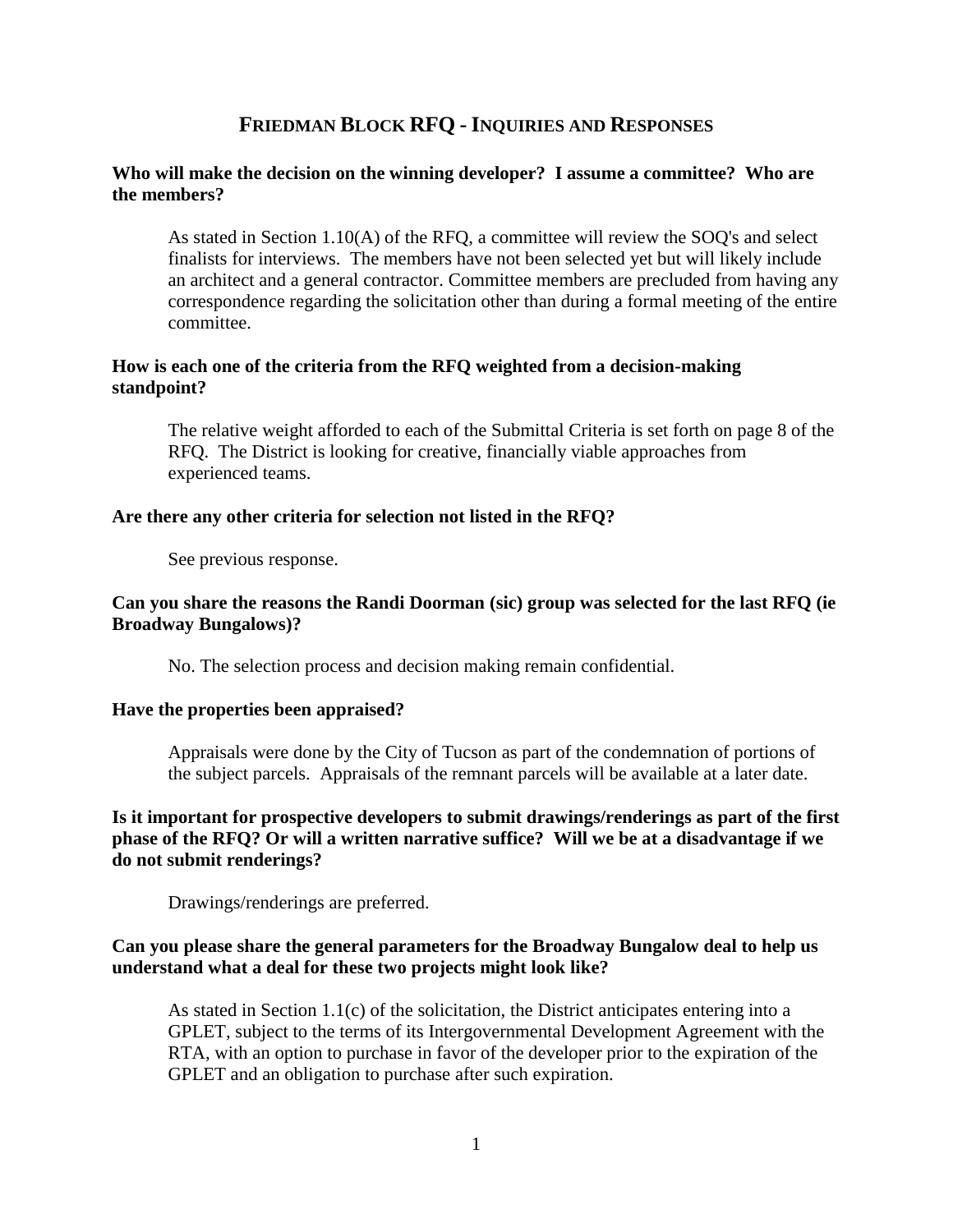# **FRIEDMAN BLOCK RFQ - INQUIRIES AND RESPONSES**

### **Who will make the decision on the winning developer? I assume a committee? Who are the members?**

As stated in Section 1.10(A) of the RFQ, a committee will review the SOQ's and select finalists for interviews. The members have not been selected yet but will likely include an architect and a general contractor. Committee members are precluded from having any correspondence regarding the solicitation other than during a formal meeting of the entire committee.

## **How is each one of the criteria from the RFQ weighted from a decision-making standpoint?**

The relative weight afforded to each of the Submittal Criteria is set forth on page 8 of the RFQ. The District is looking for creative, financially viable approaches from experienced teams.

### **Are there any other criteria for selection not listed in the RFQ?**

See previous response.

## **Can you share the reasons the Randi Doorman (sic) group was selected for the last RFQ (ie Broadway Bungalows)?**

No. The selection process and decision making remain confidential.

## **Have the properties been appraised?**

Appraisals were done by the City of Tucson as part of the condemnation of portions of the subject parcels. Appraisals of the remnant parcels will be available at a later date.

## **Is it important for prospective developers to submit drawings/renderings as part of the first phase of the RFQ? Or will a written narrative suffice? Will we be at a disadvantage if we do not submit renderings?**

Drawings/renderings are preferred.

## **Can you please share the general parameters for the Broadway Bungalow deal to help us understand what a deal for these two projects might look like?**

As stated in Section 1.1(c) of the solicitation, the District anticipates entering into a GPLET, subject to the terms of its Intergovernmental Development Agreement with the RTA, with an option to purchase in favor of the developer prior to the expiration of the GPLET and an obligation to purchase after such expiration.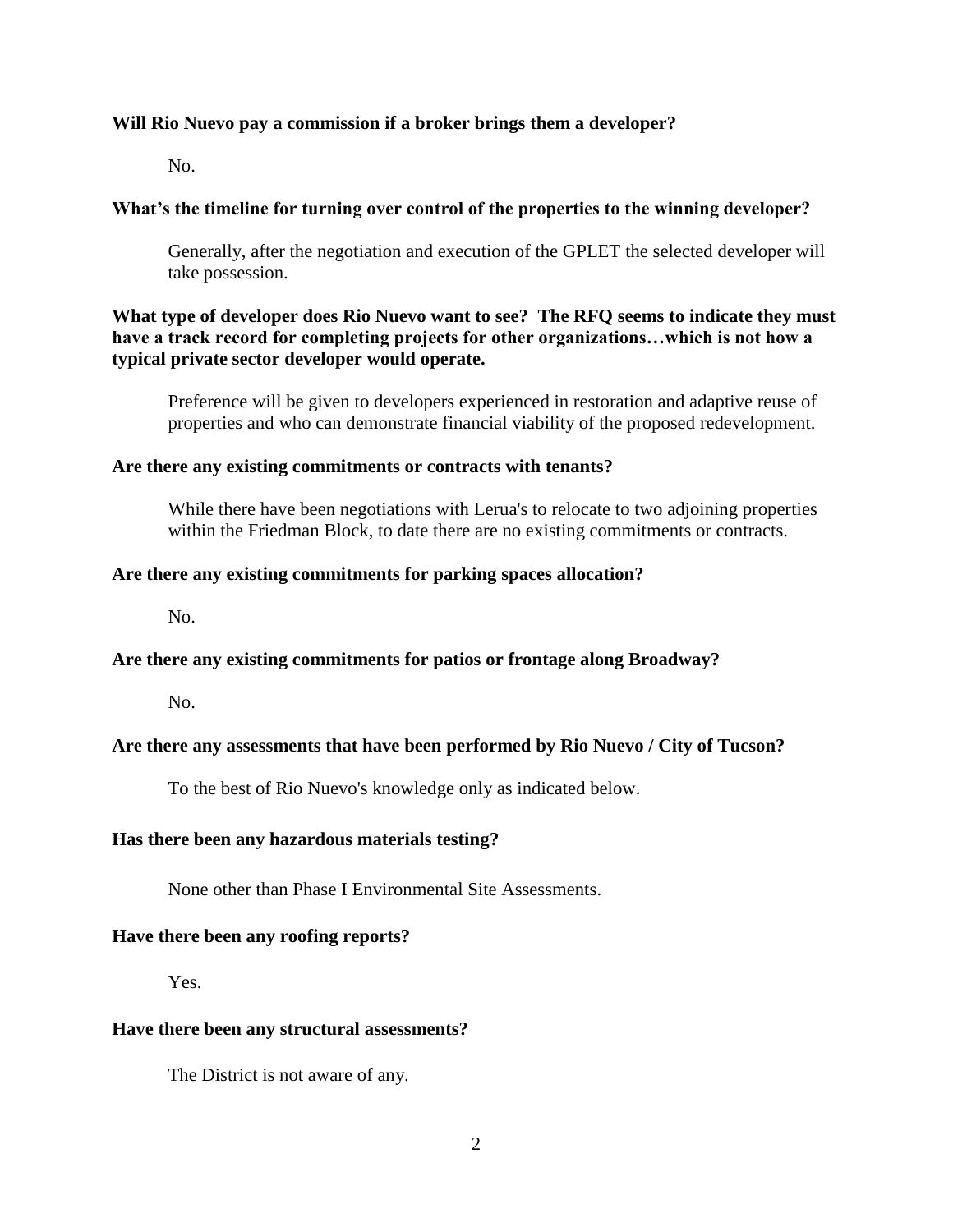### **Will Rio Nuevo pay a commission if a broker brings them a developer?**

No.

## **What's the timeline for turning over control of the properties to the winning developer?**

Generally, after the negotiation and execution of the GPLET the selected developer will take possession.

## **What type of developer does Rio Nuevo want to see? The RFQ seems to indicate they must have a track record for completing projects for other organizations…which is not how a typical private sector developer would operate.**

Preference will be given to developers experienced in restoration and adaptive reuse of properties and who can demonstrate financial viability of the proposed redevelopment.

#### **Are there any existing commitments or contracts with tenants?**

While there have been negotiations with Lerua's to relocate to two adjoining properties within the Friedman Block, to date there are no existing commitments or contracts.

#### **Are there any existing commitments for parking spaces allocation?**

No.

### **Are there any existing commitments for patios or frontage along Broadway?**

No.

### **Are there any assessments that have been performed by Rio Nuevo / City of Tucson?**

To the best of Rio Nuevo's knowledge only as indicated below.

### **Has there been any hazardous materials testing?**

None other than Phase I Environmental Site Assessments.

#### **Have there been any roofing reports?**

Yes.

#### **Have there been any structural assessments?**

The District is not aware of any.